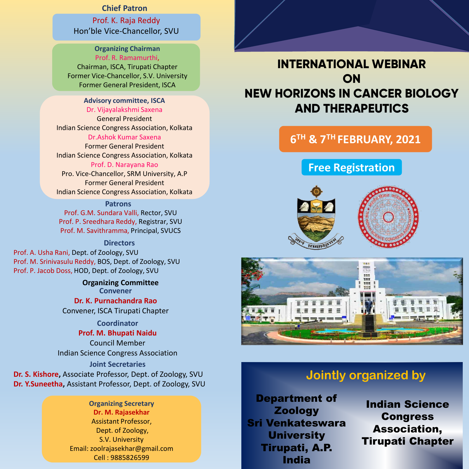### **Chief Patron**

Prof. K. Raja Reddy Hon'ble Vice-Chancellor, SVU

### **Organizing Chairman** Prof. R. Ramamurthi, Chairman, ISCA, Tirupati Chapter Former Vice-Chancellor, S.V. University Former General President, ISCA

### **Advisory committee, ISCA**

Dr. Vijayalakshmi Saxena

General President Indian Science Congress Association, Kolkata Dr.Ashok Kumar Saxena

Former General President Indian Science Congress Association, Kolkata Prof. D. Narayana Rao Pro. Vice-Chancellor, SRM University, A.P Former General President Indian Science Congress Association, Kolkata

### **Patrons**

Prof. G.M. Sundara Valli, Rector, SVU Prof. P. Sreedhara Reddy, Registrar, SVU Prof. M. Savithramma, Principal, SVUCS

### **Directors**

Prof. A. Usha Rani, Dept. of Zoology, SVU Prof. M. Srinivasulu Reddy, BOS, Dept. of Zoology, SVU Prof. P. Jacob Doss, HOD, Dept. of Zoology, SVU

> **Organizing Committee Convener Dr. K. Purnachandra Rao**

Convener, ISCA Tirupati Chapter

### **Coordinator**

### **Prof. M. Bhupati Naidu**

Council Member Indian Science Congress Association

**Joint Secretaries Dr. S. Kishore,** Associate Professor, Dept. of Zoology, SVU **Dr. Y.Suneetha,** Assistant Professor, Dept. of Zoology, SVU

### **Organizing Secretary Dr. M. Rajasekhar** Assistant Professor, Dept. of Zoology, S.V. University Email: zoolrajasekhar@gmail.com Cell : 9885826599

# **INTERNATIONAL WEBINAR ON NEW HORIZONS IN CANCER BIOLOGY AND THERAPEUTICS**

## **6 TH & 7TH FEBRUARY, 2021**

## **Free Registration**





# **Jointly organized by**

Department of Zoology Sri Venkateswara **University** Tirupati, A.P. India

Indian Science **Congress** Association, Tirupati Chapter